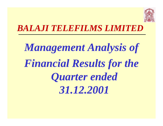

# *BALAJI TELEFILMS LIMITED*

# *Management Analysis of Financial Results for the Quarter ended 31.12.2001*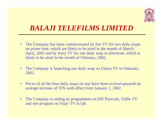

#### *BALAJI TELEFILMS LIMITED*

- $\bullet$  The Company has been commissioned by Zee TV for two daily soaps on prime time, which are likely to be aired in the month of March / April, 2002 and by Sony TV for one daily soap in afternoon, which is likely to be aired in the month of February, 2002.
- $\bullet$  The Company is launching one daily soap on Udaya TV in February, 2002.
- $\bullet$  Prices of all the four daily soaps on star have been revised upwards by average increase of 35% with effect from January 1, 2002.
- $\bullet$  The Company is ending its programmes on DD Network, SABe TV and one program on Vijay TV in Q4.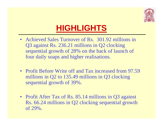

# **HIGHLIGHTS**

- Achieved Sales Turnover of Rs. 301.92 millions in Q3 against Rs. 236.21 millions in Q2 clocking sequential growth of 28% on the back of launch of four daily soaps and higher realisations.
- Profit Before Write off and Tax increased from 97.59 millions in Q2 to 135.49 millions in Q3 clocking sequential growth of 39%.
- Profit After Tax of Rs. 85.14 millions in Q3 against Rs. 66.24 millions in Q2 clocking sequential growth of 29%.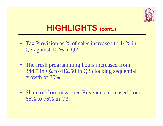

# **HIGHLIGHTS (cont..)**

- Tax Provision as % of sales increased to 14% in Q3 against 10 % in Q2
- The fresh programming hours increased from 344.5 in Q2 to 412.50 in Q3 clocking sequential growth of 20%
- Share of Commissioned Revenues increased from 66% to 76% in Q3.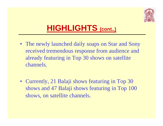

# **HIGHLIGHTS (cont..)**

- The newly launched daily soaps on Star and Sony received tremendous response from audience and already featuring in Top 30 shows on satellite channels.
- Currently, 21 Balaji shows featuring in Top 30 shows and 47 Balaji shows featuring in Top 100 shows, on satellite channels.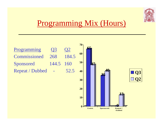

## Programming Mix (Hours)

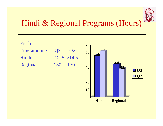

## Hindi & Regional Programs (Hours)

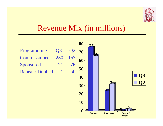

## Revenue Mix (in millions)

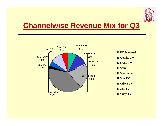

### **Channelwise Revenue Mix for Q3**

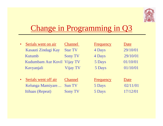

# Change in Programming in Q3

| $\bullet$ | Serials went on air         | Channel        | Frequency | Date     |
|-----------|-----------------------------|----------------|-----------|----------|
|           | Kasauti Zindagi Kay         | <b>Star TV</b> | 4 Days    | 29/10/01 |
|           | Kutumb                      | <b>Sony TV</b> | 4 Days    | 29/10/01 |
|           | Kudumbam Aur Kovil Vijay TV |                | 5 Days    | 01/10/01 |
|           | Kavyanjali                  | Vijay TV       | 5 Days    | 01/10/01 |
|           |                             |                |           |          |
| $\bullet$ | Serials went off air        | <b>Channel</b> | Frequency | Date     |
|           | Kelunga Mamiyare            | <b>Sun TV</b>  | 5 Days    | 02/11/01 |

Itihaas (Repeat) Sony TV 5 Days 17/12/01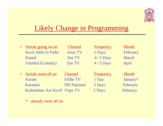

#### Likely Change in Programming

| $\bullet$ | Serials going on air        | <b>Channel</b>     | Frequency        | Month    |
|-----------|-----------------------------|--------------------|------------------|----------|
|           | Kuch Jukhi Si Palke         | <b>Sony TV</b>     | 5 Days           | February |
|           | Kamal                       | <b>Zee TV</b>      | $4/5$ Days       | March    |
|           | <b>Untitled (Comedy)</b>    | <b>Zee TV</b>      | $4/5$ Days       | April    |
|           |                             |                    |                  |          |
| $\bullet$ | Serials went off air        | <b>Channel</b>     | <b>Frequency</b> | Month    |
|           | Karam                       | <b>SABe TV</b>     | 1 Day            | January* |
|           | Kasamm                      | <b>DD</b> National | 5 Days           | February |
|           | Kudumbam Aur Kovil Vijay TV |                    | 5 Days           | February |

\* - already went off air.